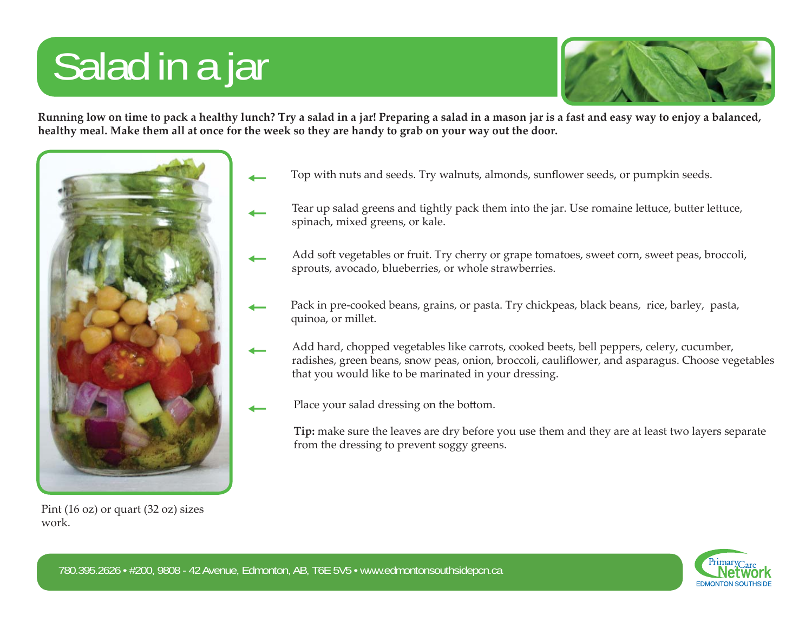## Salad in a jar



**Running low on time to pack a healthy lunch? Try a salad in a jar! Preparing a salad in a mason jar is a fast and easy way to enjoy a balanced, healthy meal. Make them all at once for the week so they are handy to grab on your way out the door.**



Pint (16 oz) or quart (32 oz) sizes work.

- $\overline{\phantom{0}}$ 
	-
- Top with nuts and seeds. Try walnuts, almonds, sunflower seeds, or pumpkin seeds.<br>
Tear up salad greens and tightly pack them into the jar. Use romaine lettuce, butter lettuce, spinach, mixed greens, or kale.<br>
Add soft veg
	-
	- radishes, green beans, snow peas, onion, broccoli, cauliflower, and asparagus. Choose vegetables that you would like to be marinated in your dressing.
	- Place your salad dressing on the bottom.

**Tip:** make sure the leaves are dry before you use them and they are at least two layers separate from the dressing to prevent soggy greens.



 $\overline{\phantom{0}}$